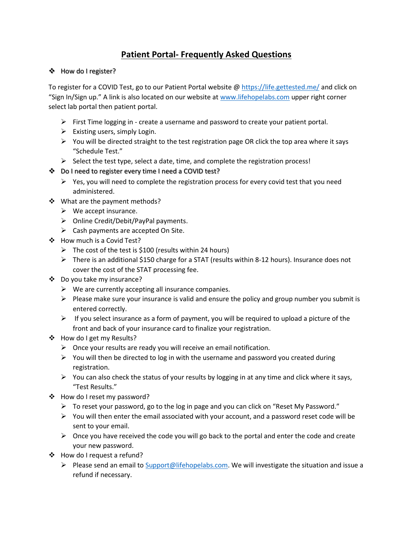## **Patient Portal- Frequently Asked Questions**

## ❖ How do I register?

To register for a COVID Test, go to our Patient Portal website @ <https://life.gettested.me/> and click on "Sign In/Sign up." A link is also located on our website at [www.lifehopelabs.com](http://www.lifehopelabs.com/) upper right corner select lab portal then patient portal.

- $\triangleright$  First Time logging in create a username and password to create your patient portal.
- $\triangleright$  Existing users, simply Login.
- $\triangleright$  You will be directed straight to the test registration page OR click the top area where it says "Schedule Test."
- $\triangleright$  Select the test type, select a date, time, and complete the registration process!
- Do I need to register every time I need a COVID test?
	- $\triangleright$  Yes, you will need to complete the registration process for every covid test that you need administered.
- ❖ What are the payment methods?
	- $\triangleright$  We accept insurance.
	- $\triangleright$  Online Credit/Debit/PayPal payments.
	- $\triangleright$  Cash payments are accepted On Site.
- ❖ How much is a Covid Test?
	- $\triangleright$  The cost of the test is \$100 (results within 24 hours)
	- $\triangleright$  There is an additional \$150 charge for a STAT (results within 8-12 hours). Insurance does not cover the cost of the STAT processing fee.
- Do you take my insurance?
	- $\triangleright$  We are currently accepting all insurance companies.
	- $\triangleright$  Please make sure your insurance is valid and ensure the policy and group number you submit is entered correctly.
	- $\triangleright$  If you select insurance as a form of payment, you will be required to upload a picture of the front and back of your insurance card to finalize your registration.
- How do I get my Results?
	- $\triangleright$  Once your results are ready you will receive an email notification.
	- $\triangleright$  You will then be directed to log in with the username and password you created during registration.
	- $\triangleright$  You can also check the status of your results by logging in at any time and click where it says, "Test Results."
- How do I reset my password?
	- $\triangleright$  To reset your password, go to the log in page and you can click on "Reset My Password."
	- $\triangleright$  You will then enter the email associated with your account, and a password reset code will be sent to your email.
	- $\triangleright$  Once you have received the code you will go back to the portal and enter the code and create your new password.
- How do I request a refund?
	- Please send an email t[o Support@lifehopelabs.com.](mailto:Support@lifehopelabs.com) We will investigate the situation and issue a refund if necessary.